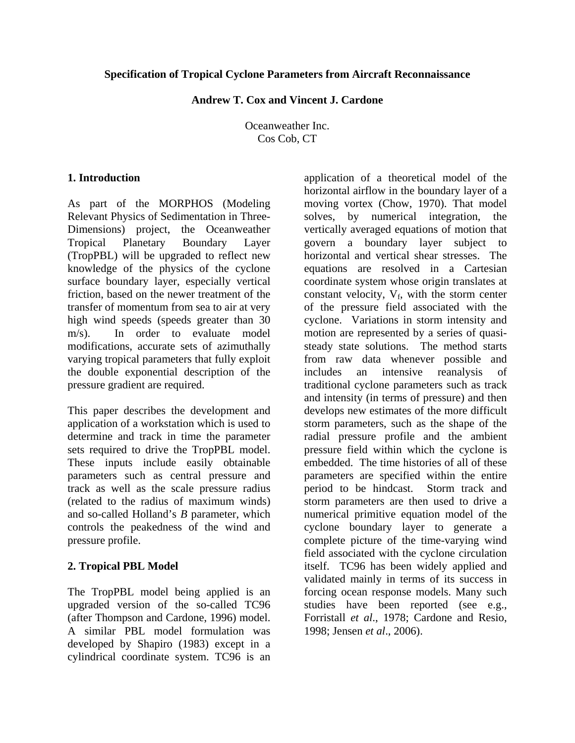#### **Specification of Tropical Cyclone Parameters from Aircraft Reconnaissance**

**Andrew T. Cox and Vincent J. Cardone** 

Oceanweather Inc. Cos Cob, CT

### **1. Introduction**

As part of the MORPHOS (Modeling Relevant Physics of Sedimentation in Three-Dimensions) project, the Oceanweather Tropical Planetary Boundary Layer (TropPBL) will be upgraded to reflect new knowledge of the physics of the cyclone surface boundary layer, especially vertical friction, based on the newer treatment of the transfer of momentum from sea to air at very high wind speeds (speeds greater than 30 m/s). In order to evaluate model modifications, accurate sets of azimuthally varying tropical parameters that fully exploit the double exponential description of the pressure gradient are required.

This paper describes the development and application of a workstation which is used to determine and track in time the parameter sets required to drive the TropPBL model. These inputs include easily obtainable parameters such as central pressure and track as well as the scale pressure radius (related to the radius of maximum winds) and so-called Holland's *B* parameter, which controls the peakedness of the wind and pressure profile.

## **2. Tropical PBL Model**

The TropPBL model being applied is an upgraded version of the so-called TC96 (after Thompson and Cardone, 1996) model. A similar PBL model formulation was developed by Shapiro (1983) except in a cylindrical coordinate system. TC96 is an

application of a theoretical model of the horizontal airflow in the boundary layer of a moving vortex (Chow, 1970). That model solves, by numerical integration, the vertically averaged equations of motion that govern a boundary layer subject to horizontal and vertical shear stresses. The equations are resolved in a Cartesian coordinate system whose origin translates at constant velocity,  $V_f$ , with the storm center of the pressure field associated with the cyclone. Variations in storm intensity and motion are represented by a series of quasisteady state solutions. The method starts from raw data whenever possible and includes an intensive reanalysis of traditional cyclone parameters such as track and intensity (in terms of pressure) and then develops new estimates of the more difficult storm parameters, such as the shape of the radial pressure profile and the ambient pressure field within which the cyclone is embedded. The time histories of all of these parameters are specified within the entire period to be hindcast. Storm track and storm parameters are then used to drive a numerical primitive equation model of the cyclone boundary layer to generate a complete picture of the time-varying wind field associated with the cyclone circulation itself. TC96 has been widely applied and validated mainly in terms of its success in forcing ocean response models. Many such studies have been reported (see e.g., Forristall *et al*., 1978; Cardone and Resio, 1998; Jensen *et al*., 2006).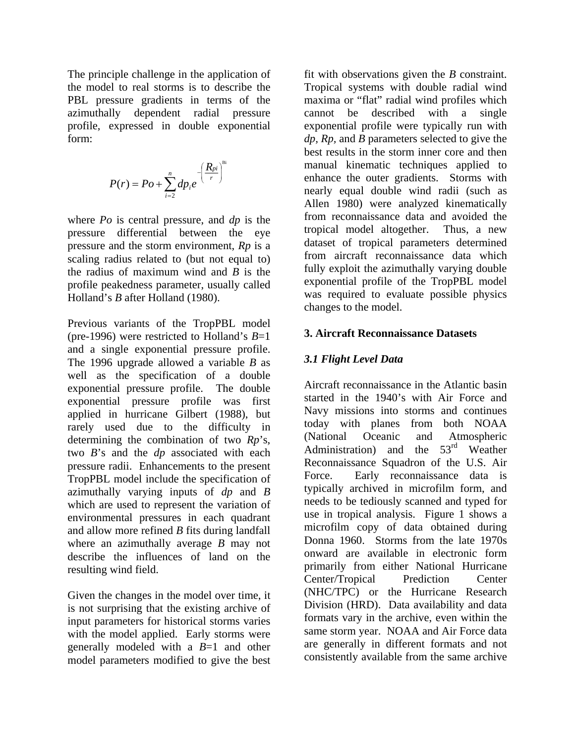The principle challenge in the application of the model to real storms is to describe the PBL pressure gradients in terms of the azimuthally dependent radial pressure profile, expressed in double exponential form:

$$
P(r) = Po + \sum_{i=2}^{n} dp_i e^{-\left(\frac{R_{pi}}{r}\right)^{m}}
$$

where *Po* is central pressure, and *dp* is the pressure differential between the eye pressure and the storm environment, *Rp* is a scaling radius related to (but not equal to) the radius of maximum wind and *B* is the profile peakedness parameter, usually called Holland's *B* after Holland (1980).

Previous variants of the TropPBL model (pre-1996) were restricted to Holland's *B*=1 and a single exponential pressure profile. The 1996 upgrade allowed a variable *B* as well as the specification of a double exponential pressure profile. The double exponential pressure profile was first applied in hurricane Gilbert (1988), but rarely used due to the difficulty in determining the combination of two *Rp*'s, two *B*'s and the *dp* associated with each pressure radii. Enhancements to the present TropPBL model include the specification of azimuthally varying inputs of *dp* and *B* which are used to represent the variation of environmental pressures in each quadrant and allow more refined *B* fits during landfall where an azimuthally average *B* may not describe the influences of land on the resulting wind field.

Given the changes in the model over time, it is not surprising that the existing archive of input parameters for historical storms varies with the model applied. Early storms were generally modeled with a *B*=1 and other model parameters modified to give the best fit with observations given the *B* constraint. Tropical systems with double radial wind maxima or "flat" radial wind profiles which cannot be described with a single exponential profile were typically run with *dp, Rp,* and *B* parameters selected to give the best results in the storm inner core and then manual kinematic techniques applied to enhance the outer gradients. Storms with nearly equal double wind radii (such as Allen 1980) were analyzed kinematically from reconnaissance data and avoided the tropical model altogether. Thus, a new dataset of tropical parameters determined from aircraft reconnaissance data which fully exploit the azimuthally varying double exponential profile of the TropPBL model was required to evaluate possible physics changes to the model.

### **3. Aircraft Reconnaissance Datasets**

# *3.1 Flight Level Data*

Aircraft reconnaissance in the Atlantic basin started in the 1940's with Air Force and Navy missions into storms and continues today with planes from both NOAA (National Oceanic and Atmospheric Administration) and the  $53<sup>rd</sup>$  Weather Reconnaissance Squadron of the U.S. Air Force. Early reconnaissance data is typically archived in microfilm form, and needs to be tediously scanned and typed for use in tropical analysis. Figure 1 shows a microfilm copy of data obtained during Donna 1960. Storms from the late 1970s onward are available in electronic form primarily from either National Hurricane Center/Tropical Prediction Center (NHC/TPC) or the Hurricane Research Division (HRD). Data availability and data formats vary in the archive, even within the same storm year. NOAA and Air Force data are generally in different formats and not consistently available from the same archive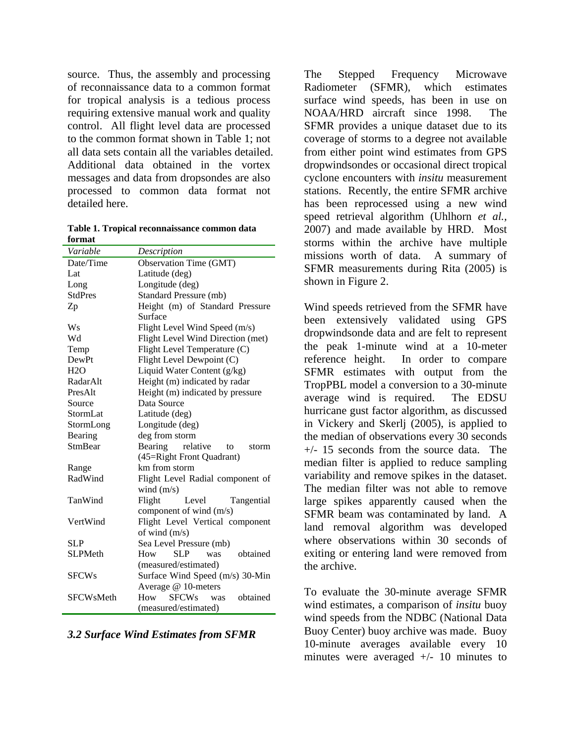source. Thus, the assembly and processing of reconnaissance data to a common format for tropical analysis is a tedious process requiring extensive manual work and quality control. All flight level data are processed to the common format shown in Table 1; not all data sets contain all the variables detailed. Additional data obtained in the vortex messages and data from dropsondes are also processed to common data format not detailed here.

**Table 1. Tropical reconnaissance common data format** 

| Variable         | Description                            |  |  |  |  |
|------------------|----------------------------------------|--|--|--|--|
| Date/Time        | Observation Time (GMT)                 |  |  |  |  |
| Lat              | Latitude (deg)                         |  |  |  |  |
| Long             | Longitude (deg)                        |  |  |  |  |
| <b>StdPres</b>   | Standard Pressure (mb)                 |  |  |  |  |
| Zp               | Height (m) of Standard Pressure        |  |  |  |  |
|                  | Surface                                |  |  |  |  |
| Ws               | Flight Level Wind Speed (m/s)          |  |  |  |  |
| Wd               | Flight Level Wind Direction (met)      |  |  |  |  |
| Temp             | Flight Level Temperature (C)           |  |  |  |  |
| <b>DewPt</b>     | Flight Level Dewpoint (C)              |  |  |  |  |
| H2O              | Liquid Water Content (g/kg)            |  |  |  |  |
| RadarAlt         | Height (m) indicated by radar          |  |  |  |  |
| PresAlt          | Height (m) indicated by pressure       |  |  |  |  |
| Source           | Data Source                            |  |  |  |  |
| <b>StormLat</b>  | Latitude (deg)                         |  |  |  |  |
| StormLong        | Longitude (deg)                        |  |  |  |  |
| Bearing          | deg from storm                         |  |  |  |  |
| <b>StmBear</b>   | Bearing<br>relative<br>to<br>storm     |  |  |  |  |
|                  | (45=Right Front Quadrant)              |  |  |  |  |
| Range            | km from storm                          |  |  |  |  |
| RadWind          | Flight Level Radial component of       |  |  |  |  |
|                  | wind $(m/s)$                           |  |  |  |  |
| TanWind          | Flight<br>Level<br>Tangential          |  |  |  |  |
|                  | component of wind (m/s)                |  |  |  |  |
| VertWind         | Flight Level Vertical component        |  |  |  |  |
|                  | of wind (m/s)                          |  |  |  |  |
| <b>SLP</b>       | Sea Level Pressure (mb)                |  |  |  |  |
| <b>SLPMeth</b>   | obtained<br>SLP<br>How<br>was          |  |  |  |  |
|                  | (measured/estimated)                   |  |  |  |  |
| <b>SFCWs</b>     | Surface Wind Speed (m/s) 30-Min        |  |  |  |  |
|                  | Average @ 10-meters                    |  |  |  |  |
| <b>SFCWsMeth</b> | <b>SFCWs</b><br>How<br>obtained<br>was |  |  |  |  |
|                  | (measured/estimated)                   |  |  |  |  |

*3.2 Surface Wind Estimates from SFMR* 

The Stepped Frequency Microwave Radiometer (SFMR), which estimates surface wind speeds, has been in use on NOAA/HRD aircraft since 1998. The SFMR provides a unique dataset due to its coverage of storms to a degree not available from either point wind estimates from GPS dropwindsondes or occasional direct tropical cyclone encounters with *insitu* measurement stations. Recently, the entire SFMR archive has been reprocessed using a new wind speed retrieval algorithm (Uhlhorn *et al.,* 2007) and made available by HRD. Most storms within the archive have multiple missions worth of data. A summary of SFMR measurements during Rita (2005) is shown in Figure 2.

Wind speeds retrieved from the SFMR have been extensively validated using GPS dropwindsonde data and are felt to represent the peak 1-minute wind at a 10-meter reference height. In order to compare SFMR estimates with output from the TropPBL model a conversion to a 30-minute average wind is required. The EDSU hurricane gust factor algorithm, as discussed in Vickery and Skerlj (2005), is applied to the median of observations every 30 seconds +/- 15 seconds from the source data. The median filter is applied to reduce sampling variability and remove spikes in the dataset. The median filter was not able to remove large spikes apparently caused when the SFMR beam was contaminated by land. A land removal algorithm was developed where observations within 30 seconds of exiting or entering land were removed from the archive.

To evaluate the 30-minute average SFMR wind estimates, a comparison of *insitu* buoy wind speeds from the NDBC (National Data Buoy Center) buoy archive was made. Buoy 10-minute averages available every 10 minutes were averaged +/- 10 minutes to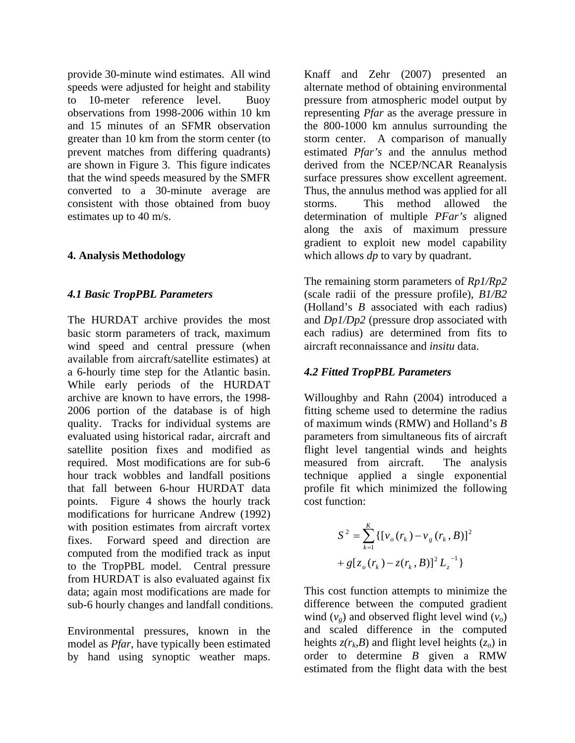provide 30-minute wind estimates. All wind speeds were adjusted for height and stability to 10-meter reference level. Buoy observations from 1998-2006 within 10 km and 15 minutes of an SFMR observation greater than 10 km from the storm center (to prevent matches from differing quadrants) are shown in Figure 3. This figure indicates that the wind speeds measured by the SMFR converted to a 30-minute average are consistent with those obtained from buoy estimates up to 40 m/s.

## **4. Analysis Methodology**

### *4.1 Basic TropPBL Parameters*

The HURDAT archive provides the most basic storm parameters of track, maximum wind speed and central pressure (when available from aircraft/satellite estimates) at a 6-hourly time step for the Atlantic basin. While early periods of the HURDAT archive are known to have errors, the 1998- 2006 portion of the database is of high quality. Tracks for individual systems are evaluated using historical radar, aircraft and satellite position fixes and modified as required. Most modifications are for sub-6 hour track wobbles and landfall positions that fall between 6-hour HURDAT data points. Figure 4 shows the hourly track modifications for hurricane Andrew (1992) with position estimates from aircraft vortex fixes. Forward speed and direction are computed from the modified track as input to the TropPBL model. Central pressure from HURDAT is also evaluated against fix data; again most modifications are made for sub-6 hourly changes and landfall conditions.

Environmental pressures, known in the model as *Pfar*, have typically been estimated by hand using synoptic weather maps.

Knaff and Zehr (2007) presented an alternate method of obtaining environmental pressure from atmospheric model output by representing *Pfar* as the average pressure in the 800-1000 km annulus surrounding the storm center. A comparison of manually estimated *Pfar's* and the annulus method derived from the NCEP/NCAR Reanalysis surface pressures show excellent agreement. Thus, the annulus method was applied for all storms. This method allowed the determination of multiple *PFar's* aligned along the axis of maximum pressure gradient to exploit new model capability which allows *dp* to vary by quadrant.

The remaining storm parameters of *Rp1/Rp2* (scale radii of the pressure profile), *B1/B2* (Holland's *B* associated with each radius) and *Dp1/Dp2* (pressure drop associated with each radius) are determined from fits to aircraft reconnaissance and *insitu* data.

#### *4.2 Fitted TropPBL Parameters*

Willoughby and Rahn (2004) introduced a fitting scheme used to determine the radius of maximum winds (RMW) and Holland's *B* parameters from simultaneous fits of aircraft flight level tangential winds and heights measured from aircraft. The analysis technique applied a single exponential profile fit which minimized the following cost function:

$$
S^{2} = \sum_{k=1}^{K} \{ [v_{o}(r_{k}) - v_{g}(r_{k}, B)]^{2} + g[z_{o}(r_{k}) - z(r_{k}, B)]^{2} L_{z}^{-1} \}
$$

This cost function attempts to minimize the difference between the computed gradient wind  $(v_{\varrho})$  and observed flight level wind  $(v_{\varrho})$ and scaled difference in the computed heights  $z(r_k, B)$  and flight level heights  $(z_o)$  in order to determine *B* given a RMW estimated from the flight data with the best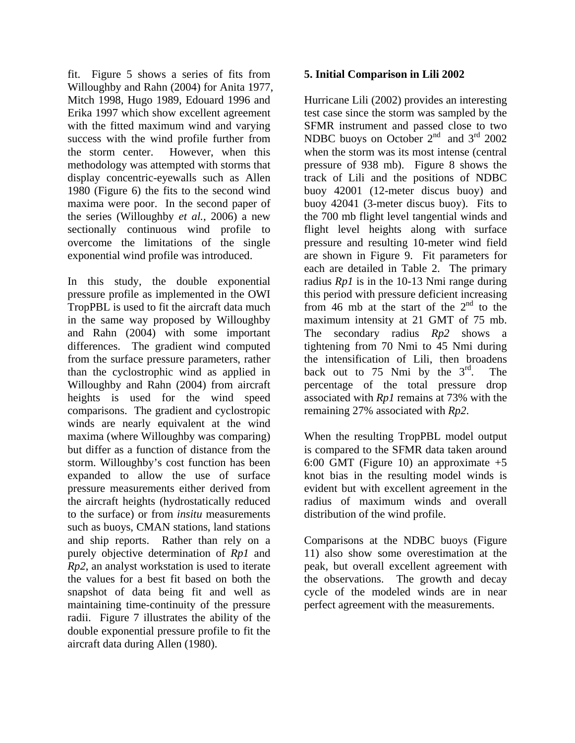fit. Figure 5 shows a series of fits from Willoughby and Rahn (2004) for Anita 1977, Mitch 1998, Hugo 1989, Edouard 1996 and Erika 1997 which show excellent agreement with the fitted maximum wind and varying success with the wind profile further from the storm center. However, when this methodology was attempted with storms that display concentric-eyewalls such as Allen 1980 (Figure 6) the fits to the second wind maxima were poor. In the second paper of the series (Willoughby *et al.*, 2006) a new sectionally continuous wind profile to overcome the limitations of the single exponential wind profile was introduced.

In this study, the double exponential pressure profile as implemented in the OWI TropPBL is used to fit the aircraft data much in the same way proposed by Willoughby and Rahn (2004) with some important differences. The gradient wind computed from the surface pressure parameters, rather than the cyclostrophic wind as applied in Willoughby and Rahn (2004) from aircraft heights is used for the wind speed comparisons. The gradient and cyclostropic winds are nearly equivalent at the wind maxima (where Willoughby was comparing) but differ as a function of distance from the storm. Willoughby's cost function has been expanded to allow the use of surface pressure measurements either derived from the aircraft heights (hydrostatically reduced to the surface) or from *insitu* measurements such as buoys, CMAN stations, land stations and ship reports. Rather than rely on a purely objective determination of *Rp1* and *Rp2*, an analyst workstation is used to iterate the values for a best fit based on both the snapshot of data being fit and well as maintaining time-continuity of the pressure radii. Figure 7 illustrates the ability of the double exponential pressure profile to fit the aircraft data during Allen (1980).

#### **5. Initial Comparison in Lili 2002**

Hurricane Lili (2002) provides an interesting test case since the storm was sampled by the SFMR instrument and passed close to two NDBC buoys on October 2<sup>nd</sup> and 3<sup>rd</sup> 2002 when the storm was its most intense (central pressure of 938 mb). Figure 8 shows the track of Lili and the positions of NDBC buoy 42001 (12-meter discus buoy) and buoy 42041 (3-meter discus buoy). Fits to the 700 mb flight level tangential winds and flight level heights along with surface pressure and resulting 10-meter wind field are shown in Figure 9. Fit parameters for each are detailed in Table 2. The primary radius *Rp1* is in the 10-13 Nmi range during this period with pressure deficient increasing from 46 mb at the start of the  $2<sup>nd</sup>$  to the maximum intensity at 21 GMT of 75 mb. The secondary radius *Rp2* shows a tightening from 70 Nmi to 45 Nmi during the intensification of Lili, then broadens back out to 75 Nmi by the  $3<sup>rd</sup>$ . The percentage of the total pressure drop associated with *Rp1* remains at 73% with the remaining 27% associated with *Rp2*.

When the resulting TropPBL model output is compared to the SFMR data taken around 6:00 GMT (Figure 10) an approximate  $+5$ knot bias in the resulting model winds is evident but with excellent agreement in the radius of maximum winds and overall distribution of the wind profile.

Comparisons at the NDBC buoys (Figure 11) also show some overestimation at the peak, but overall excellent agreement with the observations. The growth and decay cycle of the modeled winds are in near perfect agreement with the measurements.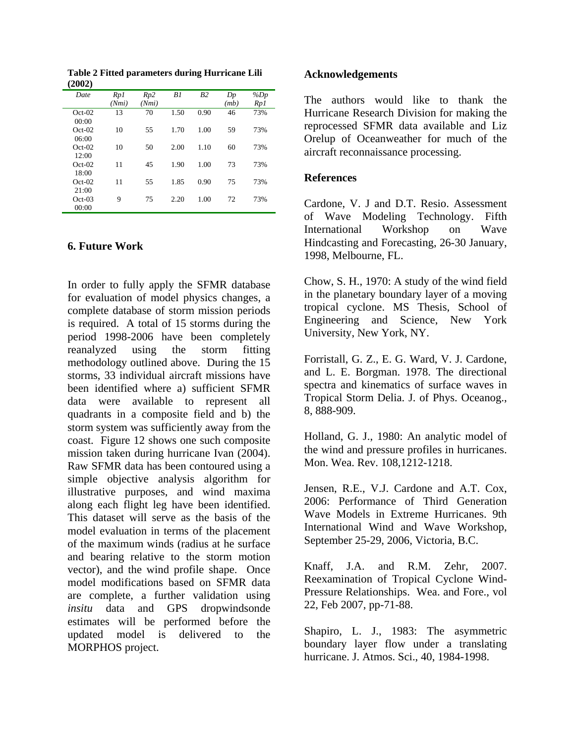| Date     | Rp1   | Rp2   | B1   | B <sub>2</sub> | Dp   | $\%Dp$ |
|----------|-------|-------|------|----------------|------|--------|
|          | (Nmi) | (Nmi) |      |                | (mb) | Rp 1   |
| $Oct-02$ | 13    | 70    | 1.50 | 0.90           | 46   | 73%    |
| 00:00    |       |       |      |                |      |        |
| $Oct-02$ | 10    | 55    | 1.70 | 1.00           | 59   | 73%    |
| 06:00    |       |       |      |                |      |        |
| $Oct-02$ | 10    | 50    | 2.00 | 1.10           | 60   | 73%    |
| 12:00    |       |       |      |                |      |        |
| $Oct-02$ | 11    | 45    | 1.90 | 1.00           | 73   | 73%    |
| 18:00    |       |       |      |                |      |        |
| $Oct-02$ | 11    | 55    | 1.85 | 0.90           | 75   | 73%    |
| 21:00    |       |       |      |                |      |        |
| $Oct-03$ | 9     | 75    | 2.20 | 1.00           | 72   | 73%    |
| 00:00    |       |       |      |                |      |        |

**Table 2 Fitted parameters during Hurricane Lili (2002)** 

#### **6. Future Work**

In order to fully apply the SFMR database for evaluation of model physics changes, a complete database of storm mission periods is required. A total of 15 storms during the period 1998-2006 have been completely reanalyzed using the storm fitting methodology outlined above. During the 15 storms, 33 individual aircraft missions have been identified where a) sufficient SFMR data were available to represent all quadrants in a composite field and b) the storm system was sufficiently away from the coast. Figure 12 shows one such composite mission taken during hurricane Ivan (2004). Raw SFMR data has been contoured using a simple objective analysis algorithm for illustrative purposes, and wind maxima along each flight leg have been identified. This dataset will serve as the basis of the model evaluation in terms of the placement of the maximum winds (radius at he surface and bearing relative to the storm motion vector), and the wind profile shape. Once model modifications based on SFMR data are complete, a further validation using *insitu* data and GPS dropwindsonde estimates will be performed before the updated model is delivered to the MORPHOS project.

#### **Acknowledgements**

The authors would like to thank the Hurricane Research Division for making the reprocessed SFMR data available and Liz Orelup of Oceanweather for much of the aircraft reconnaissance processing.

## **References**

Cardone, V. J and D.T. Resio. Assessment of Wave Modeling Technology. Fifth International Workshop on Wave Hindcasting and Forecasting, 26-30 January, 1998, Melbourne, FL.

Chow, S. H., 1970: A study of the wind field in the planetary boundary layer of a moving tropical cyclone. MS Thesis, School of Engineering and Science, New York University, New York, NY.

Forristall, G. Z., E. G. Ward, V. J. Cardone, and L. E. Borgman. 1978. The directional spectra and kinematics of surface waves in Tropical Storm Delia. J. of Phys. Oceanog., 8, 888-909.

Holland, G. J., 1980: An analytic model of the wind and pressure profiles in hurricanes. Mon. Wea. Rev. 108,1212-1218.

Jensen, R.E., V.J. Cardone and A.T. Cox, 2006: Performance of Third Generation Wave Models in Extreme Hurricanes. 9th International Wind and Wave Workshop, September 25-29, 2006, Victoria, B.C.

Knaff, J.A. and R.M. Zehr, 2007. Reexamination of Tropical Cyclone Wind-Pressure Relationships. Wea. and Fore., vol 22, Feb 2007, pp-71-88.

Shapiro, L. J., 1983: The asymmetric boundary layer flow under a translating hurricane. J. Atmos. Sci., 40, 1984-1998.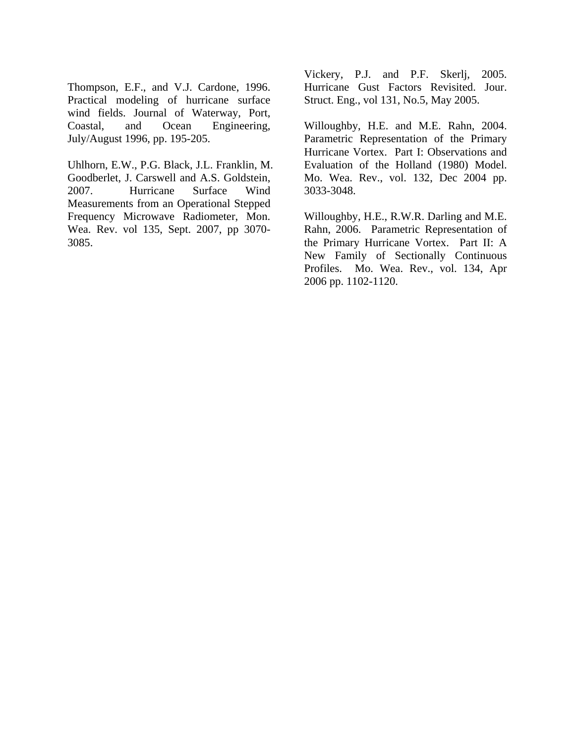Thompson, E.F., and V.J. Cardone, 1996. Practical modeling of hurricane surface wind fields. Journal of Waterway, Port, Coastal, and Ocean Engineering, July/August 1996, pp. 195-205.

Uhlhorn, E.W., P.G. Black, J.L. Franklin, M. Goodberlet, J. Carswell and A.S. Goldstein, 2007. Hurricane Surface Wind Measurements from an Operational Stepped Frequency Microwave Radiometer, Mon. Wea. Rev. vol 135, Sept. 2007, pp 3070- 3085.

Vickery, P.J. and P.F. Skerlj, 2005. Hurricane Gust Factors Revisited. Jour. Struct. Eng., vol 131, No.5, May 2005.

Willoughby, H.E. and M.E. Rahn, 2004. Parametric Representation of the Primary Hurricane Vortex. Part I: Observations and Evaluation of the Holland (1980) Model. Mo. Wea. Rev., vol. 132, Dec 2004 pp. 3033-3048.

Willoughby, H.E., R.W.R. Darling and M.E. Rahn, 2006. Parametric Representation of the Primary Hurricane Vortex. Part II: A New Family of Sectionally Continuous Profiles. Mo. Wea. Rev., vol. 134, Apr 2006 pp. 1102-1120.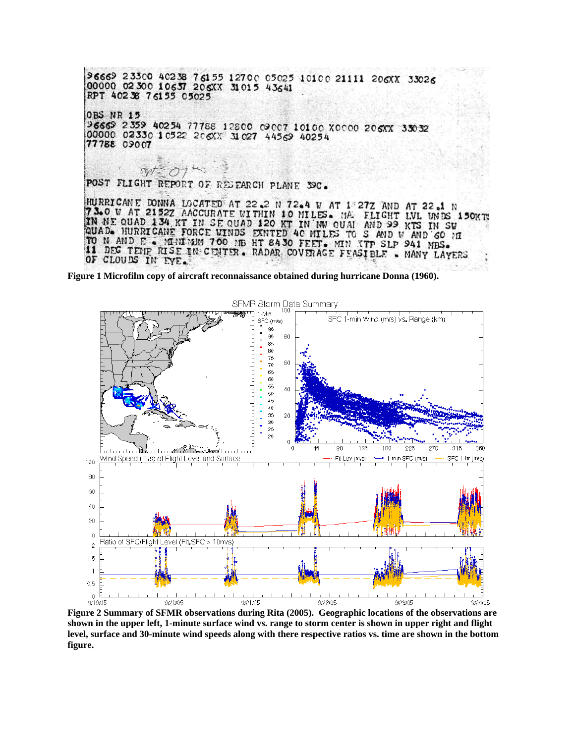

**Figure 1 Microfilm copy of aircraft reconnaissance obtained during hurricane Donna (1960).** 



**Figure 2 Summary of SFMR observations during Rita (2005). Geographic locations of the observations are shown in the upper left, 1-minute surface wind vs. range to storm center is shown in upper right and flight level, surface and 30-minute wind speeds along with there respective ratios vs. time are shown in the bottom figure.**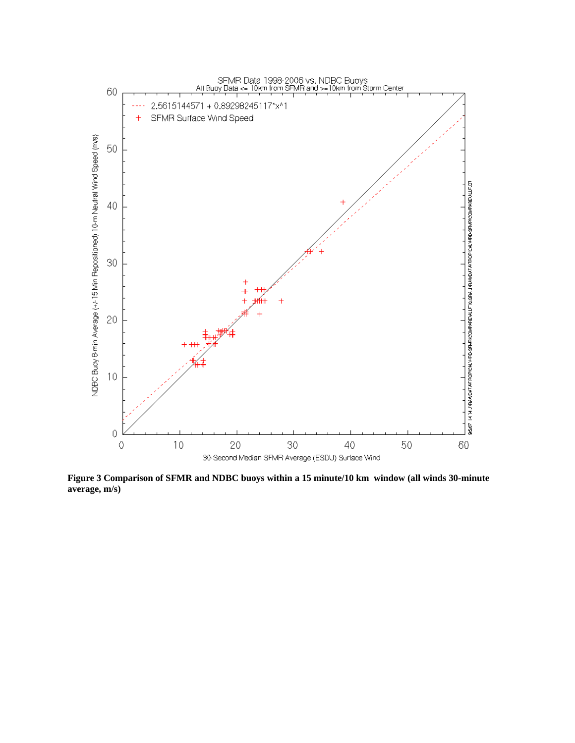

**Figure 3 Comparison of SFMR and NDBC buoys within a 15 minute/10 km window (all winds 30-minute average, m/s)**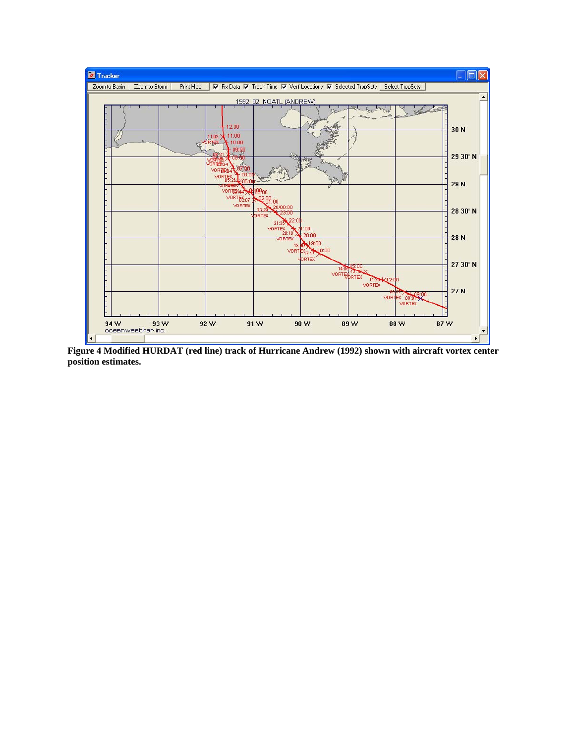

**Figure 4 Modified HURDAT (red line) track of Hurricane Andrew (1992) shown with aircraft vortex center position estimates.**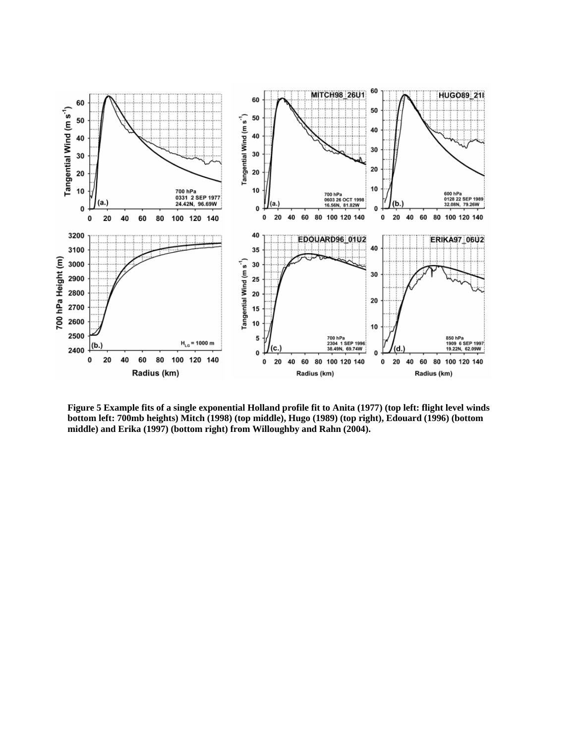

**Figure 5 Example fits of a single exponential Holland profile fit to Anita (1977) (top left: flight level winds bottom left: 700mb heights) Mitch (1998) (top middle), Hugo (1989) (top right), Edouard (1996) (bottom middle) and Erika (1997) (bottom right) from Willoughby and Rahn (2004).**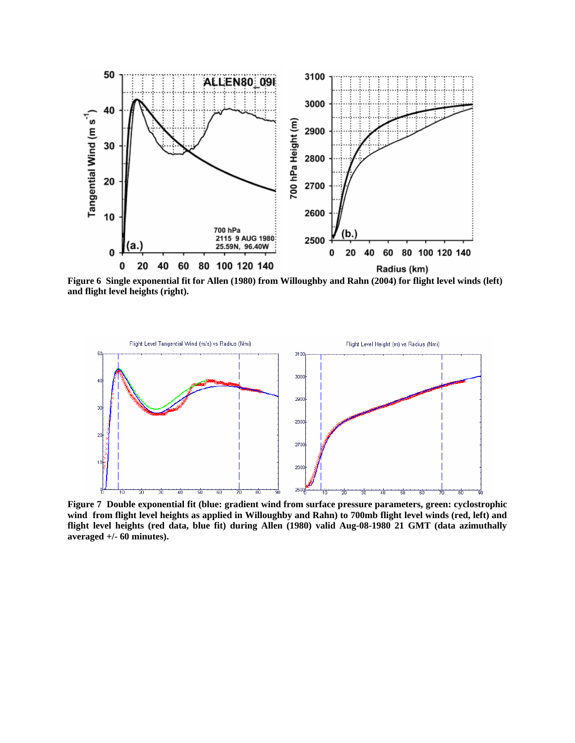

**and flight level heights (right).** 



**Figure 7 Double exponential fit (blue: gradient wind from surface pressure parameters, green: cyclostrophic wind from flight level heights as applied in Willoughby and Rahn) to 700mb flight level winds (red, left) and flight level heights (red data, blue fit) during Allen (1980) valid Aug-08-1980 21 GMT (data azimuthally averaged +/- 60 minutes).**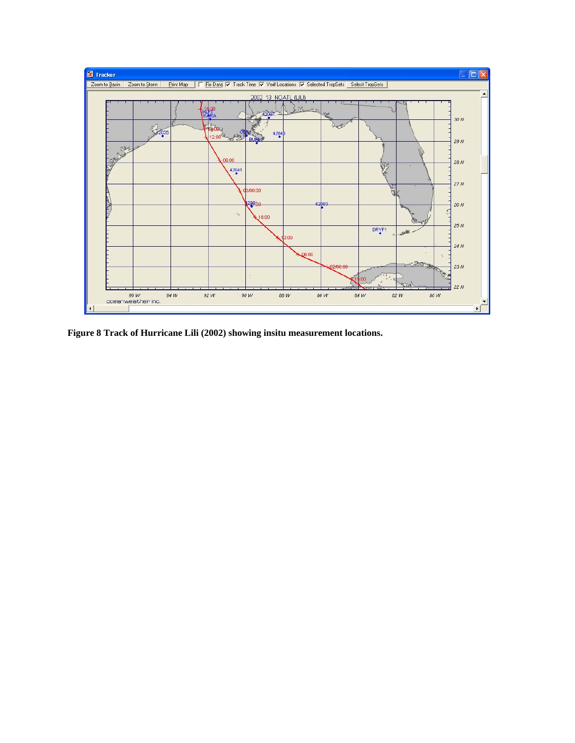

**Figure 8 Track of Hurricane Lili (2002) showing insitu measurement locations.**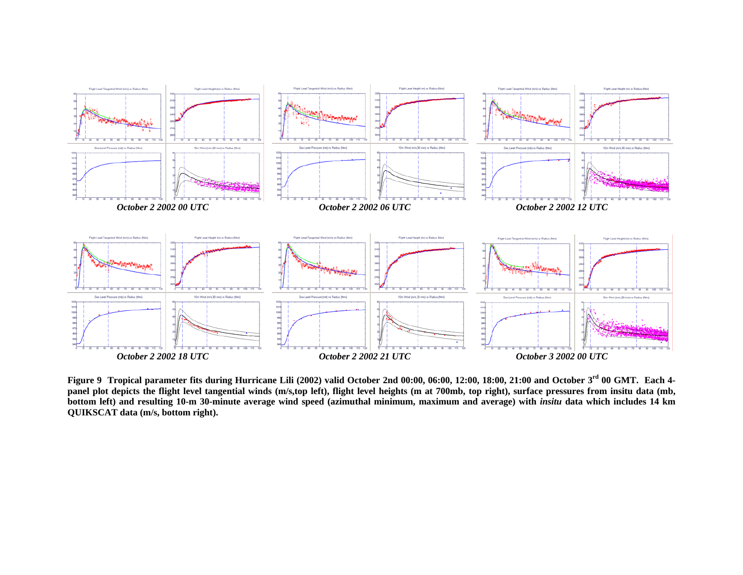

**Figure 9 Tropical parameter fits during Hurricane Lili (2002) valid October 2nd 00:00, 06:00, 12:00, 18:00, 21:00 and October 3rd 00 GMT. Each 4** panel plot depicts the flight level tangential winds (m/s,top left), flight level heights (m at 700mb, top right), surface pressures from insitu data (mb, bottom left) and resulting 10-m 30-minute average wind speed (azimuthal minimum, maximum and average) with *insitu* data which includes 14 km **QUIKSCAT data (m/s, bottom right).**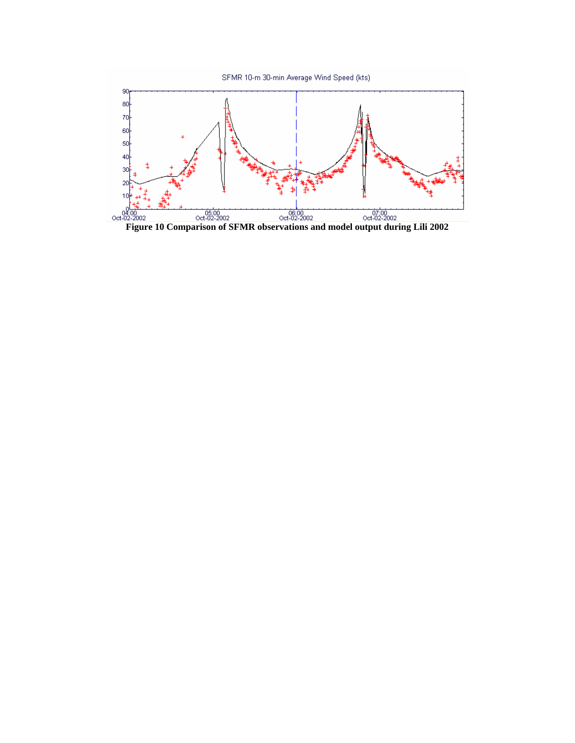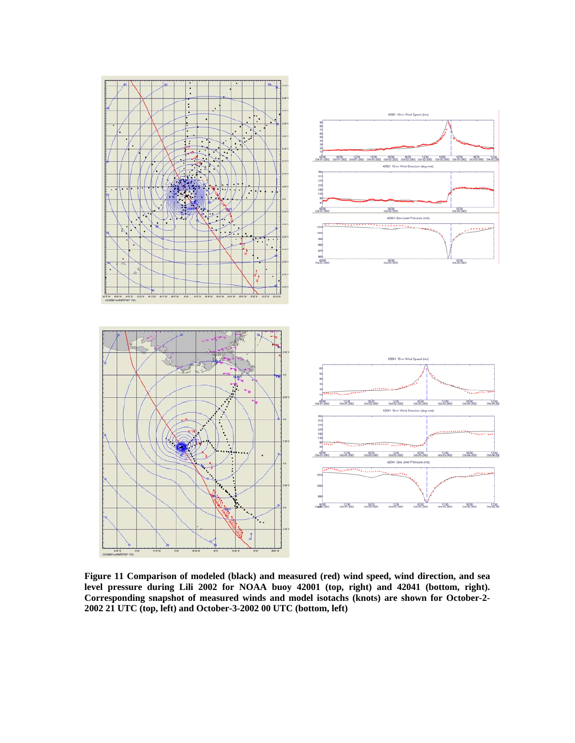

**Figure 11 Comparison of modeled (black) and measured (red) wind speed, wind direction, and sea level pressure during Lili 2002 for NOAA buoy 42001 (top, right) and 42041 (bottom, right). Corresponding snapshot of measured winds and model isotachs (knots) are shown for October-2- 2002 21 UTC (top, left) and October-3-2002 00 UTC (bottom, left)**